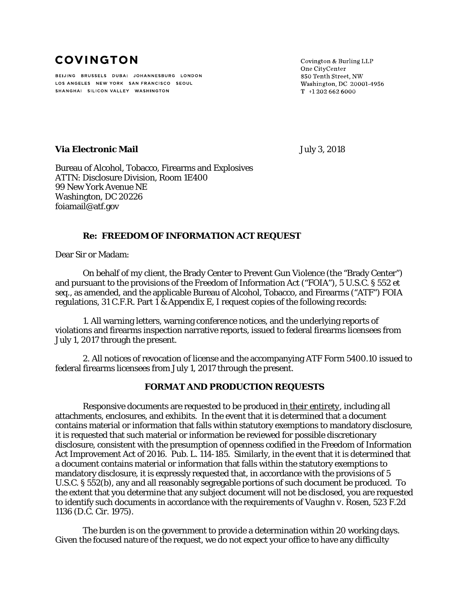# **COVINGTON**

BEIJING BRUSSELS DUBAI JOHANNESBURG LONDON LOS ANGELES NEW YORK SAN FRANCISCO SEOUL SHANGHAI SILICON VALLEY WASHINGTON

Covington & Burling LLP One CityCenter 850 Tenth Street, NW Washington, DC 20001-4956  $T$  +1 202 662 6000

## **Via Electronic Mail Via Electronic Mail July 3, 2018**

Bureau of Alcohol, Tobacco, Firearms and Explosives ATTN: Disclosure Division, Room 1E400 99 New York Avenue NE Washington, DC 20226 foiamail@atf.gov

## **Re: FREEDOM OF INFORMATION ACT REQUEST**

Dear Sir or Madam:

On behalf of my client, the Brady Center to Prevent Gun Violence (the "Brady Center") and pursuant to the provisions of the Freedom of Information Act ("FOIA"), 5 U.S.C. § 552 *et seq.*, as amended, and the applicable Bureau of Alcohol, Tobacco, and Firearms ("ATF") FOIA regulations, 31 C.F.R. Part 1 & Appendix E, I request copies of the following records:

1. All warning letters, warning conference notices, and the underlying reports of violations and firearms inspection narrative reports, issued to federal firearms licensees from July 1, 2017 through the present.

2. All notices of revocation of license and the accompanying ATF Form 5400.10 issued to federal firearms licensees from July 1, 2017 through the present.

#### **FORMAT AND PRODUCTION REQUESTS**

Responsive documents are requested to be produced in *their entirety*, including all attachments, enclosures, and exhibits. In the event that it is determined that a document contains material or information that falls within statutory exemptions to mandatory disclosure, it is requested that such material or information be reviewed for possible discretionary disclosure, consistent with the presumption of openness codified in the Freedom of Information Act Improvement Act of 2016. Pub. L. 114-185. Similarly, in the event that it is determined that a document contains material or information that falls within the statutory exemptions to mandatory disclosure, it is expressly requested that, in accordance with the provisions of 5 U.S.C. § 552(b), any and all reasonably segregable portions of such document be produced. To the extent that you determine that any subject document will not be disclosed, you are requested to identify such documents in accordance with the requirements of *Vaughn v. Rosen*, 523 F.2d 1136 (D.C. Cir. 1975).

The burden is on the government to provide a determination within 20 working days. Given the focused nature of the request, we do not expect your office to have any difficulty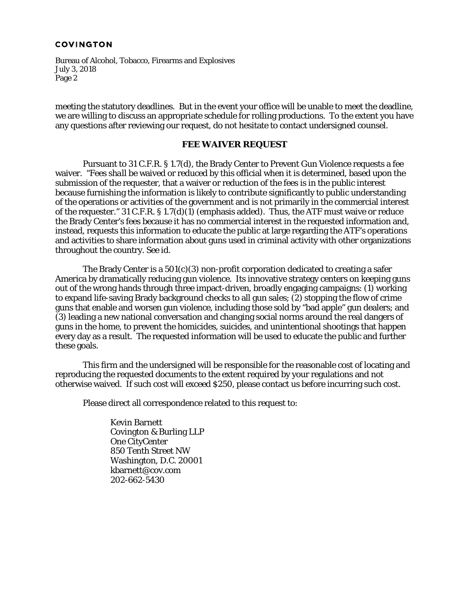#### **COVINGTON**

Bureau of Alcohol, Tobacco, Firearms and Explosives July 3, 2018 Page 2

meeting the statutory deadlines. But in the event your office will be unable to meet the deadline, we are willing to discuss an appropriate schedule for rolling productions. To the extent you have any questions after reviewing our request, do not hesitate to contact undersigned counsel.

#### **FEE WAIVER REQUEST**

Pursuant to 31 C.F.R. § 1.7(d), the Brady Center to Prevent Gun Violence requests a fee waiver. "Fees *shall* be waived or reduced by this official when it is determined, based upon the submission of the requester, that a waiver or reduction of the fees is in the public interest because furnishing the information is likely to contribute significantly to public understanding of the operations or activities of the government and is not primarily in the commercial interest of the requester." 31 C.F.R. § 1.7(d)(1) (emphasis added). Thus, the ATF must waive or reduce the Brady Center's fees because it has no commercial interest in the requested information and, instead, requests this information to educate the public at large regarding the ATF's operations and activities to share information about guns used in criminal activity with other organizations throughout the country. *See id*.

The Brady Center is a 501(c)(3) non-profit corporation dedicated to creating a safer America by dramatically reducing gun violence. Its innovative strategy centers on keeping guns out of the wrong hands through three impact-driven, broadly engaging campaigns: (1) working to expand life-saving Brady background checks to all gun sales; (2) stopping the flow of crime guns that enable and worsen gun violence, including those sold by "bad apple" gun dealers; and (3) leading a new national conversation and changing social norms around the real dangers of guns in the home, to prevent the homicides, suicides, and unintentional shootings that happen every day as a result. The requested information will be used to educate the public and further these goals.

This firm and the undersigned will be responsible for the reasonable cost of locating and reproducing the requested documents to the extent required by your regulations and not otherwise waived. If such cost will exceed \$250, please contact us before incurring such cost.

Please direct all correspondence related to this request to:

Kevin Barnett Covington & Burling LLP One CityCenter 850 Tenth Street NW Washington, D.C. 20001 kbarnett@cov.com 202-662-5430